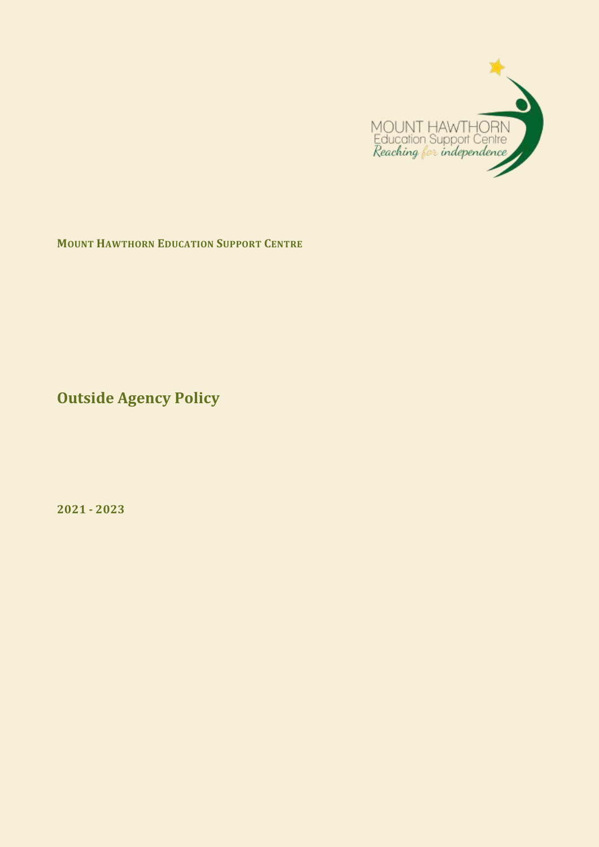

**MOUNT HAWTHORN EDUCATION SUPPORT CENTRE**

**Outside Agency Policy** 

**2021 - 2023**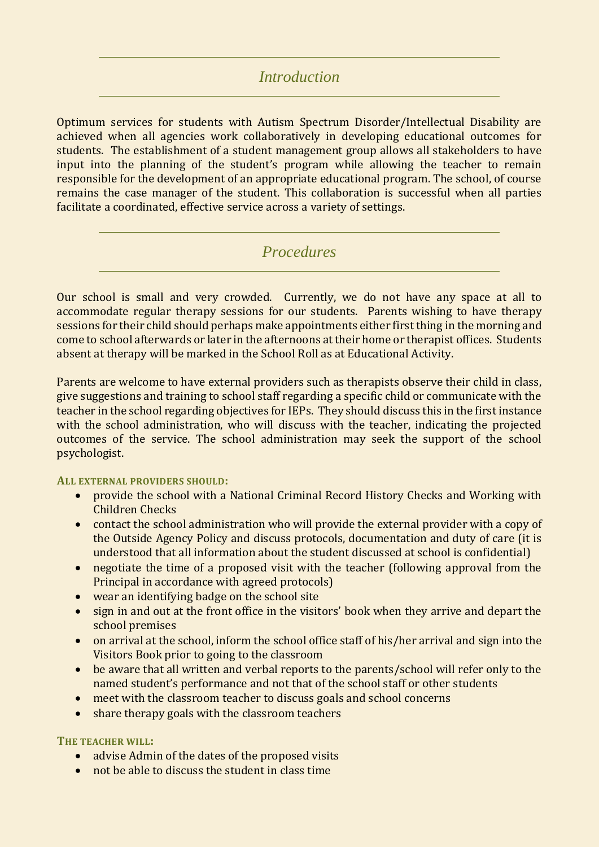# *Introduction*

Optimum services for students with Autism Spectrum Disorder/Intellectual Disability are achieved when all agencies work collaboratively in developing educational outcomes for students. The establishment of a student management group allows all stakeholders to have input into the planning of the student's program while allowing the teacher to remain responsible for the development of an appropriate educational program. The school, of course remains the case manager of the student. This collaboration is successful when all parties facilitate a coordinated, effective service across a variety of settings.

# *Procedures*

Our school is small and very crowded. Currently, we do not have any space at all to accommodate regular therapy sessions for our students. Parents wishing to have therapy sessions for their child should perhaps make appointments either first thing in the morning and come to school afterwards or later in the afternoons at their home or therapist offices. Students absent at therapy will be marked in the School Roll as at Educational Activity.

Parents are welcome to have external providers such as therapists observe their child in class, give suggestions and training to school staff regarding a specific child or communicate with the teacher in the school regarding objectives for IEPs. They should discuss this in the first instance with the school administration, who will discuss with the teacher, indicating the projected outcomes of the service. The school administration may seek the support of the school psychologist.

#### **ALL EXTERNAL PROVIDERS SHOULD:**

- provide the school with a National Criminal Record History Checks and Working with Children Checks
- contact the school administration who will provide the external provider with a copy of the Outside Agency Policy and discuss protocols, documentation and duty of care (it is understood that all information about the student discussed at school is confidential)
- negotiate the time of a proposed visit with the teacher (following approval from the Principal in accordance with agreed protocols)
- wear an identifying badge on the school site
- sign in and out at the front office in the visitors' book when they arrive and depart the school premises
- on arrival at the school, inform the school office staff of his/her arrival and sign into the Visitors Book prior to going to the classroom
- be aware that all written and verbal reports to the parents/school will refer only to the named student's performance and not that of the school staff or other students
- meet with the classroom teacher to discuss goals and school concerns
- share therapy goals with the classroom teachers

### **THE TEACHER WILL:**

- advise Admin of the dates of the proposed visits
- not be able to discuss the student in class time